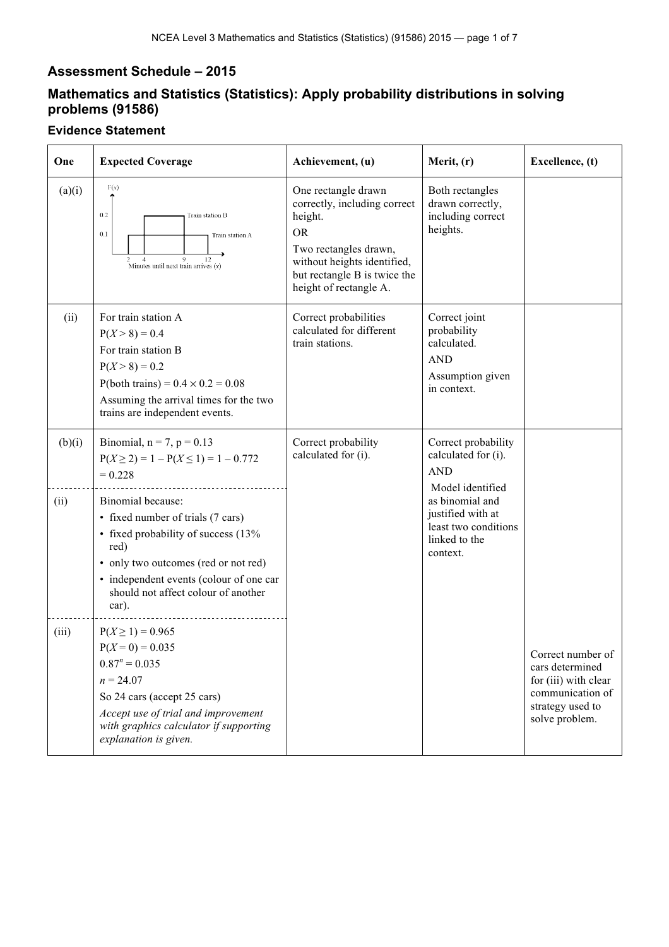## **Assessment Schedule – 2015**

## **Mathematics and Statistics (Statistics): Apply probability distributions in solving problems (91586)**

## **Evidence Statement**

| One    | <b>Expected Coverage</b>                                                                                                                                                                                                                 | Achievement, (u)                                                                                                                                                                              | Merit, (r)                                                                                   | Excellence, (t)                                                                                                        |
|--------|------------------------------------------------------------------------------------------------------------------------------------------------------------------------------------------------------------------------------------------|-----------------------------------------------------------------------------------------------------------------------------------------------------------------------------------------------|----------------------------------------------------------------------------------------------|------------------------------------------------------------------------------------------------------------------------|
| (a)(i) | F(x)<br>0.2<br>Train station B<br>0.1<br>Train station A<br>$\overline{4}$<br>9<br>12<br>Minutes until next train arrives $(x)$                                                                                                          | One rectangle drawn<br>correctly, including correct<br>height.<br><b>OR</b><br>Two rectangles drawn,<br>without heights identified,<br>but rectangle B is twice the<br>height of rectangle A. | Both rectangles<br>drawn correctly,<br>including correct<br>heights.                         |                                                                                                                        |
| (ii)   | For train station A<br>$P(X > 8) = 0.4$<br>For train station B<br>$P(X > 8) = 0.2$<br>P(both trains) = $0.4 \times 0.2 = 0.08$<br>Assuming the arrival times for the two<br>trains are independent events.                               | Correct probabilities<br>calculated for different<br>train stations.                                                                                                                          | Correct joint<br>probability<br>calculated.<br><b>AND</b><br>Assumption given<br>in context. |                                                                                                                        |
| (b)(i) | Binomial, $n = 7$ , $p = 0.13$<br>$P(X \ge 2) = 1 - P(X \le 1) = 1 - 0.772$<br>$= 0.228$                                                                                                                                                 | Correct probability<br>calculated for (i).                                                                                                                                                    | Correct probability<br>calculated for (i).<br><b>AND</b><br>Model identified                 |                                                                                                                        |
| (ii)   | Binomial because:<br>• fixed number of trials (7 cars)<br>• fixed probability of success (13%<br>red)<br>• only two outcomes (red or not red)<br>• independent events (colour of one car<br>should not affect colour of another<br>car). |                                                                                                                                                                                               | as binomial and<br>justified with at<br>least two conditions<br>linked to the<br>context.    |                                                                                                                        |
| (iii)  | $P(X \ge 1) = 0.965$<br>$P(X=0) = 0.035$<br>$0.87^n = 0.035$<br>$n = 24.07$<br>So 24 cars (accept 25 cars)<br>Accept use of trial and improvement<br>with graphics calculator if supporting<br>explanation is given.                     |                                                                                                                                                                                               |                                                                                              | Correct number of<br>cars determined<br>for (iii) with clear<br>communication of<br>strategy used to<br>solve problem. |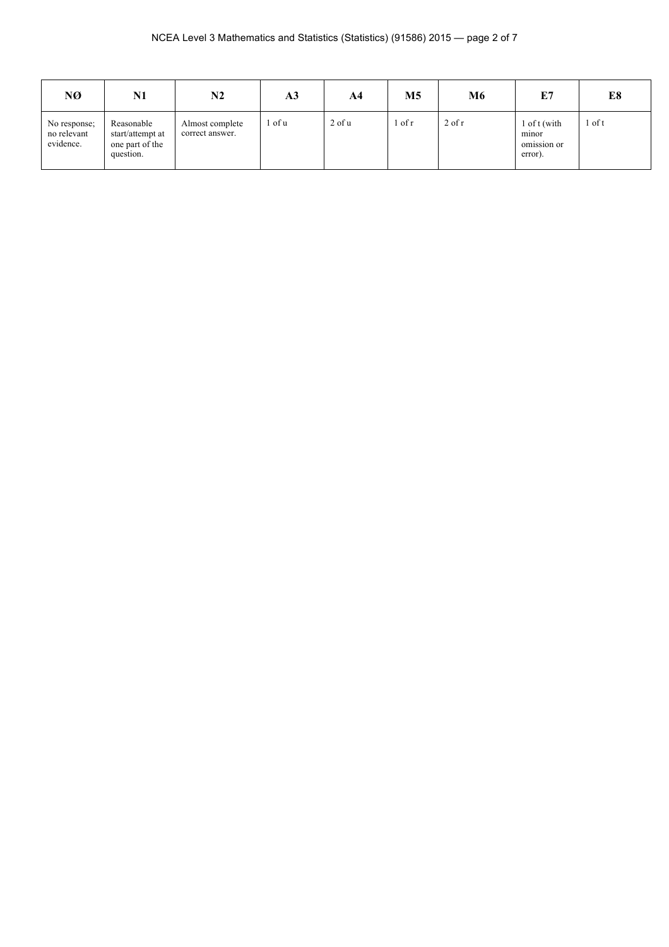| NØ                                       | N1                                                             | N2                                 | A3     | A <sub>4</sub> | M5     | M6       | E7                                              | E8     |
|------------------------------------------|----------------------------------------------------------------|------------------------------------|--------|----------------|--------|----------|-------------------------------------------------|--------|
| No response;<br>no relevant<br>evidence. | Reasonable<br>start/attempt at<br>one part of the<br>question. | Almost complete<br>correct answer. | l of u | $2$ of $u$     | 1 of r | $2$ of r | l of t (with<br>minor<br>omission or<br>error). | r of t |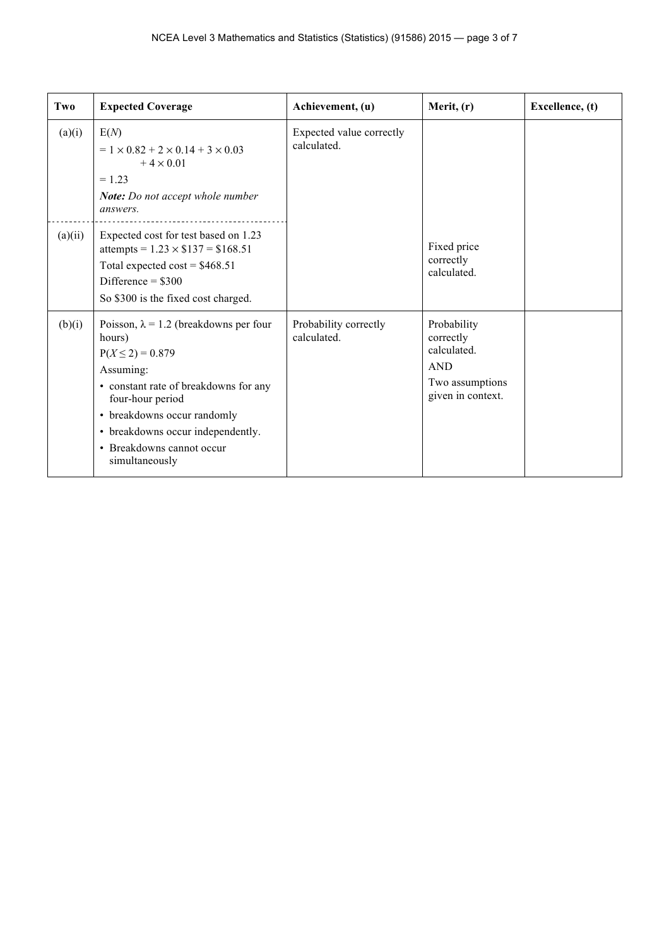| Two     | <b>Expected Coverage</b>                                                                                                                                                                                                                                                     | Achievement, (u)                        | Merit, (r)                                                                                    | Excellence, (t) |
|---------|------------------------------------------------------------------------------------------------------------------------------------------------------------------------------------------------------------------------------------------------------------------------------|-----------------------------------------|-----------------------------------------------------------------------------------------------|-----------------|
| (a)(i)  | E(N)<br>$= 1 \times 0.82 + 2 \times 0.14 + 3 \times 0.03$<br>$+4 \times 0.01$<br>$= 1.23$<br>Note: Do not accept whole number<br>answers.                                                                                                                                    | Expected value correctly<br>calculated. |                                                                                               |                 |
| (a)(ii) | Expected cost for test based on 1.23<br>attempts = $1.23 \times $137 = $168.51$<br>Total expected cost = $$468.51$<br>Difference = $$300$<br>So \$300 is the fixed cost charged.                                                                                             |                                         | Fixed price<br>correctly<br>calculated.                                                       |                 |
| (b)(i)  | Poisson, $\lambda = 1.2$ (breakdowns per four<br>hours)<br>$P(X \le 2) = 0.879$<br>Assuming:<br>• constant rate of breakdowns for any<br>four-hour period<br>• breakdowns occur randomly<br>• breakdowns occur independently.<br>• Breakdowns cannot occur<br>simultaneously | Probability correctly<br>calculated.    | Probability<br>correctly<br>calculated.<br><b>AND</b><br>Two assumptions<br>given in context. |                 |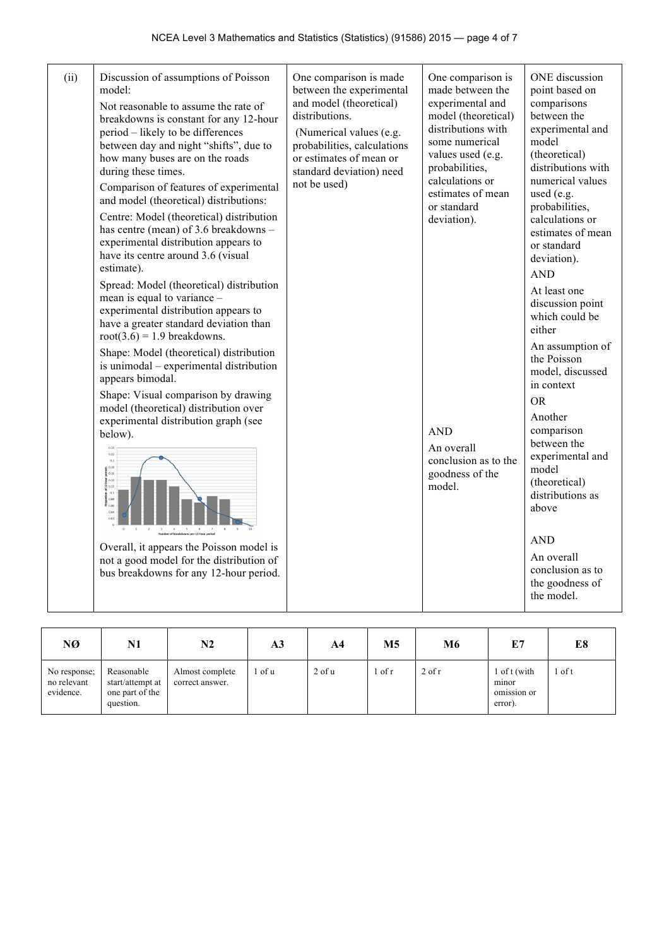| (ii) | Discussion of assumptions of Poisson<br>model:<br>Not reasonable to assume the rate of<br>breakdowns is constant for any 12-hour<br>period – likely to be differences<br>between day and night "shifts", due to<br>how many buses are on the roads<br>during these times.<br>Comparison of features of experimental<br>and model (theoretical) distributions:<br>Centre: Model (theoretical) distribution<br>has centre (mean) of 3.6 breakdowns -<br>experimental distribution appears to<br>have its centre around 3.6 (visual<br>estimate).                                                                                                                                                                                           | One comparison is made<br>between the experimental<br>and model (theoretical)<br>distributions.<br>(Numerical values (e.g.<br>probabilities, calculations<br>or estimates of mean or<br>standard deviation) need<br>not be used) | One comparison is<br>made between the<br>experimental and<br>model (theoretical)<br>distributions with<br>some numerical<br>values used (e.g.<br>probabilities,<br>calculations or<br>estimates of mean<br>or standard<br>deviation). | ONE discussion<br>point based on<br>comparisons<br>between the<br>experimental and<br>model<br>(theoretical)<br>distributions with<br>numerical values<br>used (e.g.<br>probabilities,<br>calculations or<br>estimates of mean<br>or standard<br>deviation).<br><b>AND</b>                                                                         |
|------|------------------------------------------------------------------------------------------------------------------------------------------------------------------------------------------------------------------------------------------------------------------------------------------------------------------------------------------------------------------------------------------------------------------------------------------------------------------------------------------------------------------------------------------------------------------------------------------------------------------------------------------------------------------------------------------------------------------------------------------|----------------------------------------------------------------------------------------------------------------------------------------------------------------------------------------------------------------------------------|---------------------------------------------------------------------------------------------------------------------------------------------------------------------------------------------------------------------------------------|----------------------------------------------------------------------------------------------------------------------------------------------------------------------------------------------------------------------------------------------------------------------------------------------------------------------------------------------------|
|      | Spread: Model (theoretical) distribution<br>mean is equal to variance -<br>experimental distribution appears to<br>have a greater standard deviation than<br>$root(3.6) = 1.9$ breakdowns.<br>Shape: Model (theoretical) distribution<br>is unimodal – experimental distribution<br>appears bimodal.<br>Shape: Visual comparison by drawing<br>model (theoretical) distribution over<br>experimental distribution graph (see<br>below).<br>0.22<br>0.2<br>$\frac{3}{2}$ $\frac{0.18}{0.16}$<br>$\frac{1}{2}$ 0.14<br>$\frac{7}{8}$ 0.12<br>$0.1\,$<br>$\frac{5}{6}$ 0.08<br>$\frac{6}{6}$ 0.06<br>0.02<br>Overall, it appears the Poisson model is<br>not a good model for the distribution of<br>bus breakdowns for any 12-hour period. |                                                                                                                                                                                                                                  | <b>AND</b><br>An overall<br>conclusion as to the<br>goodness of the<br>model.                                                                                                                                                         | At least one<br>discussion point<br>which could be<br>either<br>An assumption of<br>the Poisson<br>model, discussed<br>in context<br><b>OR</b><br>Another<br>comparison<br>between the<br>experimental and<br>model<br>(theoretical)<br>distributions as<br>above<br><b>AND</b><br>An overall<br>conclusion as to<br>the goodness of<br>the model. |

| NØ                                       | N1                                                             | N2                                 | A <sub>3</sub> | A4         | М5     | M6       | E7                                              | E8     |
|------------------------------------------|----------------------------------------------------------------|------------------------------------|----------------|------------|--------|----------|-------------------------------------------------|--------|
| No response;<br>no relevant<br>evidence. | Reasonable<br>start/attempt at<br>one part of the<br>question. | Almost complete<br>correct answer. | of u           | $2$ of $u$ | ∣ of r | $2$ of r | l of t (with<br>minor<br>omission or<br>error). | 1 of t |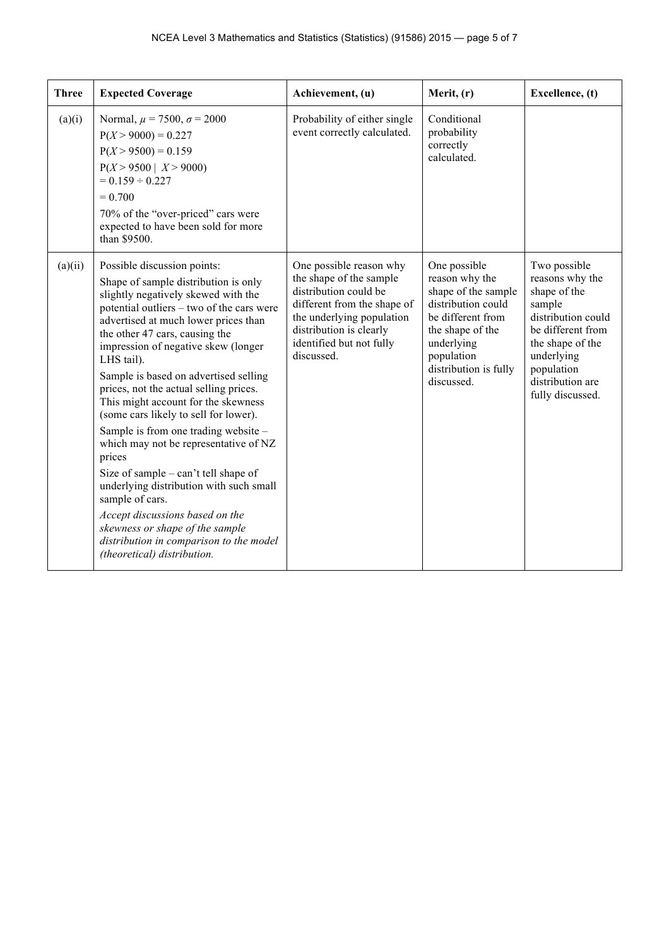| <b>Three</b> | <b>Expected Coverage</b>                                                                                                                                                                                                                                                                                                                                                                                                                                                                                                                                                                                                                                                                                                                                                                                   | Achievement, (u)                                                                                                                                                                                             | Merit, (r)                                                                                                                                                                              | Excellence, (t)                                                                                                                                                                              |
|--------------|------------------------------------------------------------------------------------------------------------------------------------------------------------------------------------------------------------------------------------------------------------------------------------------------------------------------------------------------------------------------------------------------------------------------------------------------------------------------------------------------------------------------------------------------------------------------------------------------------------------------------------------------------------------------------------------------------------------------------------------------------------------------------------------------------------|--------------------------------------------------------------------------------------------------------------------------------------------------------------------------------------------------------------|-----------------------------------------------------------------------------------------------------------------------------------------------------------------------------------------|----------------------------------------------------------------------------------------------------------------------------------------------------------------------------------------------|
| (a)(i)       | Normal, $\mu = 7500$ , $\sigma = 2000$<br>$P(X > 9000) = 0.227$<br>$P(X > 9500) = 0.159$<br>$P(X > 9500 \mid X > 9000)$<br>$= 0.159 \div 0.227$<br>$= 0.700$<br>70% of the "over-priced" cars were<br>expected to have been sold for more<br>than \$9500.                                                                                                                                                                                                                                                                                                                                                                                                                                                                                                                                                  | Probability of either single<br>event correctly calculated.                                                                                                                                                  | Conditional<br>probability<br>correctly<br>calculated.                                                                                                                                  |                                                                                                                                                                                              |
| (a)(ii)      | Possible discussion points:<br>Shape of sample distribution is only<br>slightly negatively skewed with the<br>potential outliers – two of the cars were<br>advertised at much lower prices than<br>the other 47 cars, causing the<br>impression of negative skew (longer<br>LHS tail).<br>Sample is based on advertised selling<br>prices, not the actual selling prices.<br>This might account for the skewness<br>(some cars likely to sell for lower).<br>Sample is from one trading website -<br>which may not be representative of NZ<br>prices<br>Size of sample – can't tell shape of<br>underlying distribution with such small<br>sample of cars.<br>Accept discussions based on the<br>skewness or shape of the sample<br>distribution in comparison to the model<br>(theoretical) distribution. | One possible reason why<br>the shape of the sample<br>distribution could be<br>different from the shape of<br>the underlying population<br>distribution is clearly<br>identified but not fully<br>discussed. | One possible<br>reason why the<br>shape of the sample<br>distribution could<br>be different from<br>the shape of the<br>underlying<br>population<br>distribution is fully<br>discussed. | Two possible<br>reasons why the<br>shape of the<br>sample<br>distribution could<br>be different from<br>the shape of the<br>underlying<br>population<br>distribution are<br>fully discussed. |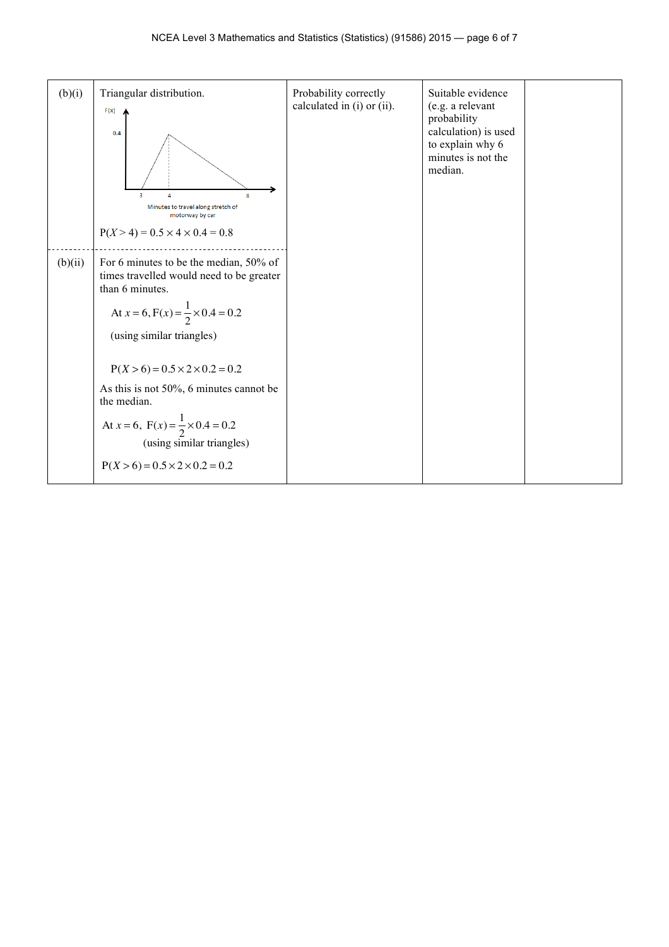| (b)(i)  | Triangular distribution.<br>F(x)<br>0.4<br>$\overline{3}$<br>8<br>Δ<br>Minutes to travel along stretch of<br>motorway by car<br>$P(X > 4) = 0.5 \times 4 \times 0.4 = 0.8$                                                                                                                                                                                                                                                            | Probability correctly<br>calculated in (i) or (ii). | Suitable evidence<br>(e.g. a relevant<br>probability<br>calculation) is used<br>to explain why 6<br>minutes is not the<br>median. |  |
|---------|---------------------------------------------------------------------------------------------------------------------------------------------------------------------------------------------------------------------------------------------------------------------------------------------------------------------------------------------------------------------------------------------------------------------------------------|-----------------------------------------------------|-----------------------------------------------------------------------------------------------------------------------------------|--|
| (b)(ii) | For 6 minutes to be the median, 50% of<br>times travelled would need to be greater<br>than 6 minutes.<br>At $x = 6$ , $F(x) = \frac{1}{2} \times 0.4 = 0.2$<br>(using similar triangles)<br>$P(X > 6) = 0.5 \times 2 \times 0.2 = 0.2$<br>As this is not $50\%$ , 6 minutes cannot be<br>the median.<br>At $x = 6$ , $F(x) = \frac{1}{2} \times 0.4 = 0.2$<br>(using similar triangles)<br>$P(X > 6) = 0.5 \times 2 \times 0.2 = 0.2$ |                                                     |                                                                                                                                   |  |